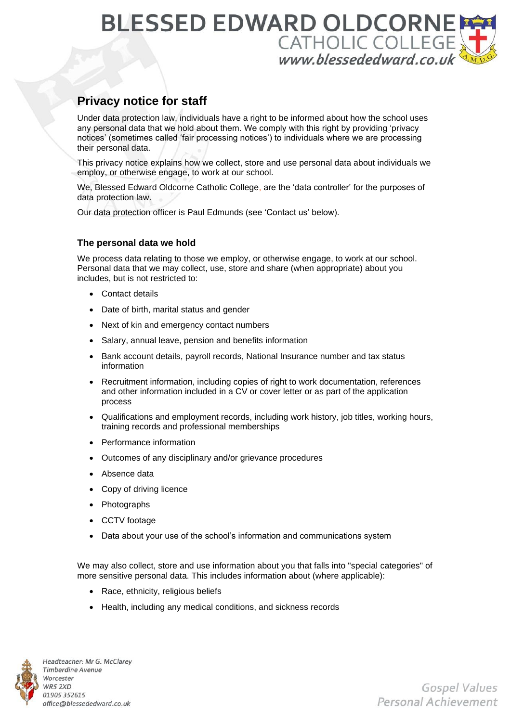# **BLESSED EDWARD OLDCORNE** CATHOLIC COLLEGE

# **Privacy notice for staff**

Under data protection law, individuals have a right to be informed about how the school uses any personal data that we hold about them. We comply with this right by providing 'privacy notices' (sometimes called 'fair processing notices') to individuals where we are processing their personal data.

This privacy notice explains how we collect, store and use personal data about individuals we employ, or otherwise engage, to work at our school.

We, Blessed Edward Oldcorne Catholic College, are the 'data controller' for the purposes of data protection law.

Our data protection officer is Paul Edmunds (see 'Contact us' below).

# **The personal data we hold**

We process data relating to those we employ, or otherwise engage, to work at our school. Personal data that we may collect, use, store and share (when appropriate) about you includes, but is not restricted to:

- Contact details
- Date of birth, marital status and gender
- Next of kin and emergency contact numbers
- Salary, annual leave, pension and benefits information
- Bank account details, payroll records, National Insurance number and tax status information
- Recruitment information, including copies of right to work documentation, references and other information included in a CV or cover letter or as part of the application process
- Qualifications and employment records, including work history, job titles, working hours, training records and professional memberships
- Performance information
- Outcomes of any disciplinary and/or grievance procedures
- Absence data
- Copy of driving licence
- Photographs
- CCTV footage
- Data about your use of the school's information and communications system

We may also collect, store and use information about you that falls into "special categories" of more sensitive personal data. This includes information about (where applicable):

- Race, ethnicity, religious beliefs
- Health, including any medical conditions, and sickness records



Headteacher: Mr G. McClarey **Timberdine Avenue** Worcester WR5 2XD 01905 352615 office@blessededward.co.uk

Gospel Values Personal Achievement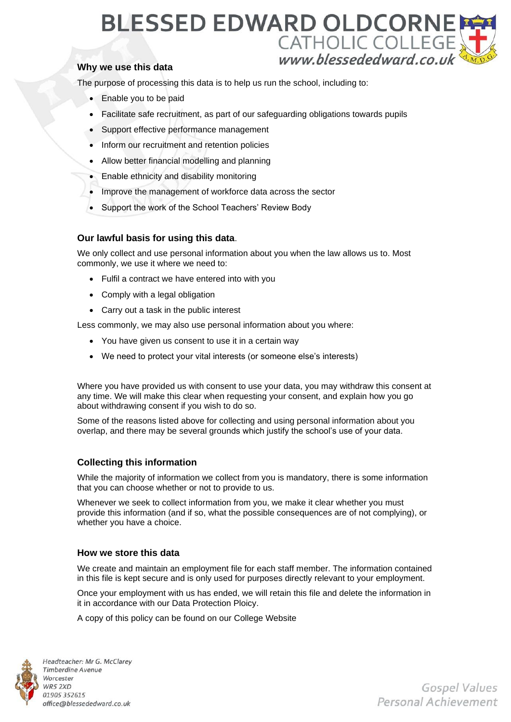# **BLESSED EDWARD OLDCORNE** CATHOLIC COLLEGE

# **Why we use this data**

The purpose of processing this data is to help us run the school, including to:

- Enable you to be paid
- Facilitate safe recruitment, as part of our safeguarding obligations towards pupils
- Support effective performance management
- Inform our recruitment and retention policies
- Allow better financial modelling and planning
- Enable ethnicity and disability monitoring
- Improve the management of workforce data across the sector
- Support the work of the School Teachers' Review Body

### **Our lawful basis for using this data**.

We only collect and use personal information about you when the law allows us to. Most commonly, we use it where we need to:

- Fulfil a contract we have entered into with you
- Comply with a legal obligation
- Carry out a task in the public interest

Less commonly, we may also use personal information about you where:

- You have given us consent to use it in a certain way
- We need to protect your vital interests (or someone else's interests)

Where you have provided us with consent to use your data, you may withdraw this consent at any time. We will make this clear when requesting your consent, and explain how you go about withdrawing consent if you wish to do so.

Some of the reasons listed above for collecting and using personal information about you overlap, and there may be several grounds which justify the school's use of your data.

# **Collecting this information**

While the majority of information we collect from you is mandatory, there is some information that you can choose whether or not to provide to us.

Whenever we seek to collect information from you, we make it clear whether you must provide this information (and if so, what the possible consequences are of not complying), or whether you have a choice.

#### **How we store this data**

We create and maintain an employment file for each staff member. The information contained in this file is kept secure and is only used for purposes directly relevant to your employment.

Once your employment with us has ended, we will retain this file and delete the information in it in accordance with our Data Protection Ploicy.

A copy of this policy can be found on our College Website



Headteacher: Mr G. McClarey **Timberdine Avenue** Worcester WR5 2XD 01905 352615 office@blessededward.co.uk

Gospel Values Personal Achievement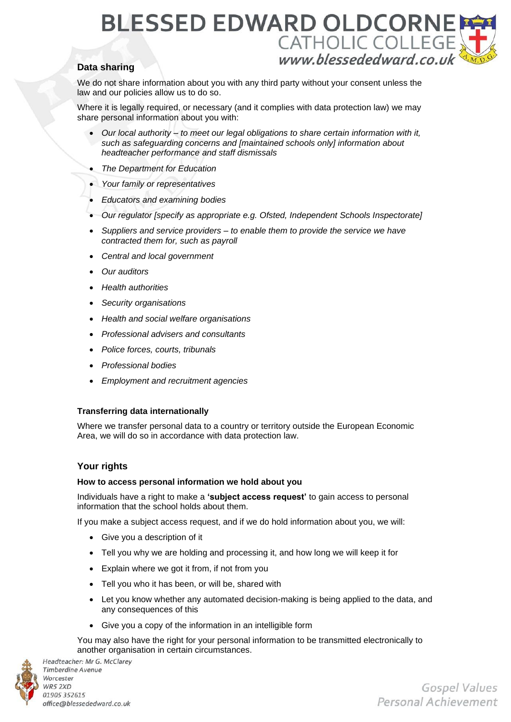# **BLESSED EDWARD OLDCORNE** CATHOLIC COLLEGE

# **Data sharing**

We do not share information about you with any third party without your consent unless the law and our policies allow us to do so.

Where it is legally required, or necessary (and it complies with data protection law) we may share personal information about you with:

- *Our local authority – to meet our legal obligations to share certain information with it, such as safeguarding concerns and [maintained schools only] information about headteacher performance and staff dismissals*
- *The Department for Education*
- *Your family or representatives*
- *Educators and examining bodies*
- *Our regulator [specify as appropriate e.g. Ofsted, Independent Schools Inspectorate]*
- *Suppliers and service providers – to enable them to provide the service we have contracted them for, such as payroll*
- *Central and local government*
- *Our auditors*
- *Health authorities*
- *Security organisations*
- *Health and social welfare organisations*
- *Professional advisers and consultants*
- *Police forces, courts, tribunals*
- *Professional bodies*
- *Employment and recruitment agencies*

# **Transferring data internationally**

Where we transfer personal data to a country or territory outside the European Economic Area, we will do so in accordance with data protection law.

# **Your rights**

#### **How to access personal information we hold about you**

Individuals have a right to make a **'subject access request'** to gain access to personal information that the school holds about them.

If you make a subject access request, and if we do hold information about you, we will:

- Give you a description of it
- Tell you why we are holding and processing it, and how long we will keep it for
- Explain where we got it from, if not from you
- Tell you who it has been, or will be, shared with
- Let you know whether any automated decision-making is being applied to the data, and any consequences of this
- Give you a copy of the information in an intelligible form

You may also have the right for your personal information to be transmitted electronically to another organisation in certain circumstances.